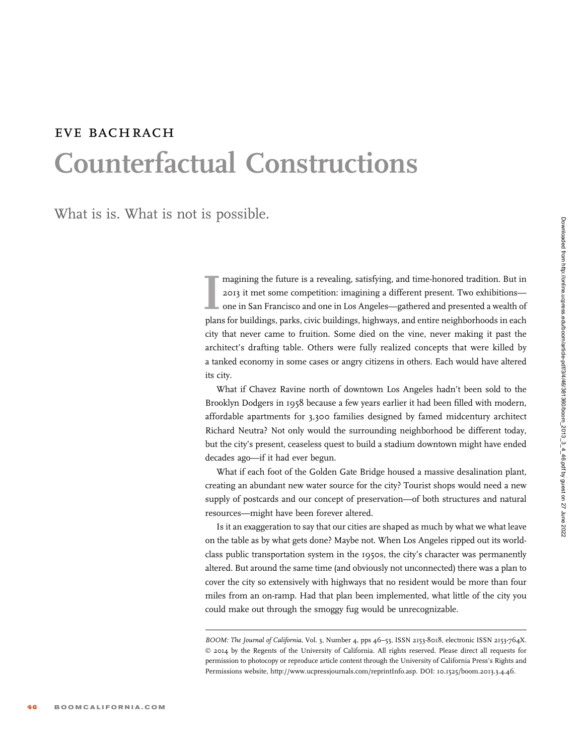# EVE BACHRACH Counterfactual Constructions

What is is. What is not is possible.

Imagining the future is a revealing, satisfying, and time-honored tradition. But in 2013 it met some competition: imagining a different present. Two exhibitions—<br>Imaginal one in San Francisco and one in Los Angeles—gathere magining the future is a revealing, satisfying, and time-honored tradition. But in 2013 it met some competition: imagining a different present. Two exhibitions one in San Francisco and one in Los Angeles—gathered and presented a wealth of city that never came to fruition. Some died on the vine, never making it past the architect's drafting table. Others were fully realized concepts that were killed by a tanked economy in some cases or angry citizens in others. Each would have altered its city.

What if Chavez Ravine north of downtown Los Angeles hadn't been sold to the Brooklyn Dodgers in 1958 because a few years earlier it had been filled with modern, affordable apartments for 3,300 families designed by famed midcentury architect Richard Neutra? Not only would the surrounding neighborhood be different today, but the city's present, ceaseless quest to build a stadium downtown might have ended decades ago—if it had ever begun.

What if each foot of the Golden Gate Bridge housed a massive desalination plant, creating an abundant new water source for the city? Tourist shops would need a new supply of postcards and our concept of preservation—of both structures and natural resources—might have been forever altered.

Is it an exaggeration to say that our cities are shaped as much by what we what leave on the table as by what gets done? Maybe not. When Los Angeles ripped out its worldclass public transportation system in the 1950s, the city's character was permanently altered. But around the same time (and obviously not unconnected) there was a plan to cover the city so extensively with highways that no resident would be more than four miles from an on-ramp. Had that plan been implemented, what little of the city you could make out through the smoggy fug would be unrecognizable.

BOOM: The Journal of California, Vol. 3, Number 4, pps 46-53, ISSN 2153-8018, electronic ISSN 2153-764X. © 2014 by the Regents of the University of California. All rights reserved. Please direct all requests for permission to photocopy or reproduce article content through the University of California Press's Rights and Permissions website, http://www.ucpressjournals.com/reprintInfo.asp. DOI: 10.1525/boom.2013.3.4.46.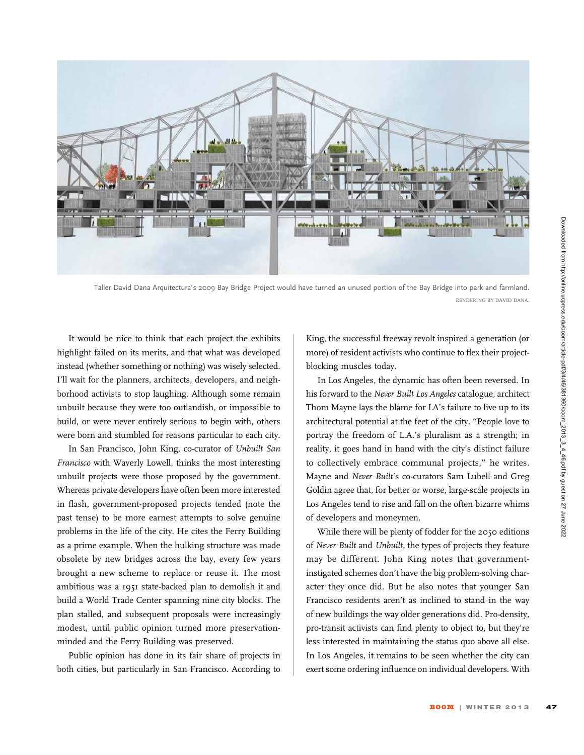

Taller David Dana Arquitectura's 2009 Bay Bridge Project would have turned an unused portion of the Bay Bridge into park and farmland. RENDERING BY DAVID DANA.

It would be nice to think that each project the exhibits highlight failed on its merits, and that what was developed instead (whether something or nothing) was wisely selected. I'll wait for the planners, architects, developers, and neighborhood activists to stop laughing. Although some remain unbuilt because they were too outlandish, or impossible to build, or were never entirely serious to begin with, others were born and stumbled for reasons particular to each city.

In San Francisco, John King, co-curator of Unbuilt San Francisco with Waverly Lowell, thinks the most interesting unbuilt projects were those proposed by the government. Whereas private developers have often been more interested in flash, government-proposed projects tended (note the past tense) to be more earnest attempts to solve genuine problems in the life of the city. He cites the Ferry Building as a prime example. When the hulking structure was made obsolete by new bridges across the bay, every few years brought a new scheme to replace or reuse it. The most ambitious was a 1951 state-backed plan to demolish it and build a World Trade Center spanning nine city blocks. The plan stalled, and subsequent proposals were increasingly modest, until public opinion turned more preservationminded and the Ferry Building was preserved.

Public opinion has done in its fair share of projects in both cities, but particularly in San Francisco. According to

King, the successful freeway revolt inspired a generation (or more) of resident activists who continue to flex their projectblocking muscles today.

In Los Angeles, the dynamic has often been reversed. In his forward to the Never Built Los Angeles catalogue, architect Thom Mayne lays the blame for LA's failure to live up to its architectural potential at the feet of the city. ''People love to portray the freedom of L.A.'s pluralism as a strength; in reality, it goes hand in hand with the city's distinct failure to collectively embrace communal projects,'' he writes. Mayne and Never Built's co-curators Sam Lubell and Greg Goldin agree that, for better or worse, large-scale projects in Los Angeles tend to rise and fall on the often bizarre whims of developers and moneymen.

While there will be plenty of fodder for the 2050 editions of Never Built and Unbuilt, the types of projects they feature may be different. John King notes that governmentinstigated schemes don't have the big problem-solving character they once did. But he also notes that younger San Francisco residents aren't as inclined to stand in the way of new buildings the way older generations did. Pro-density, pro-transit activists can find plenty to object to, but they're less interested in maintaining the status quo above all else. In Los Angeles, it remains to be seen whether the city can exert some ordering influence on individual developers. With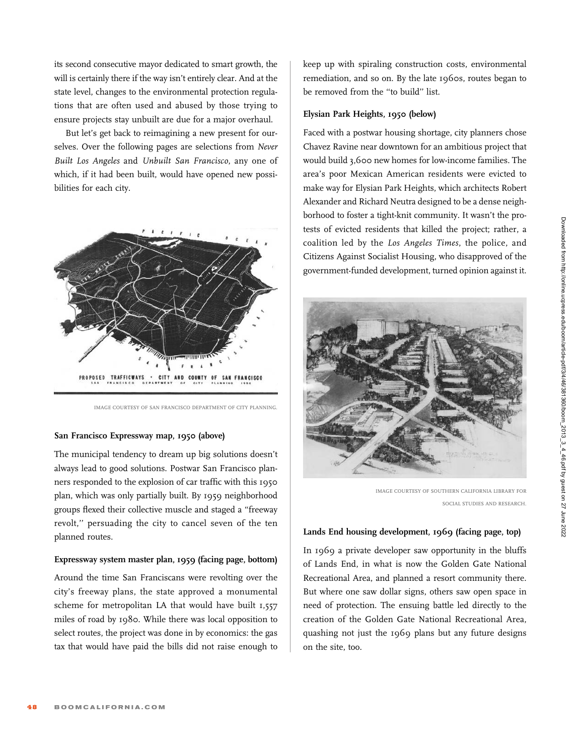its second consecutive mayor dedicated to smart growth, the will is certainly there if the way isn't entirely clear. And at the state level, changes to the environmental protection regulations that are often used and abused by those trying to ensure projects stay unbuilt are due for a major overhaul.

But let's get back to reimagining a new present for ourselves. Over the following pages are selections from Never Built Los Angeles and Unbuilt San Francisco, any one of which, if it had been built, would have opened new possibilities for each city.



IMAGE COURTESY OF SAN FRANCISCO DEPARTMENT OF CITY PLANNING.

#### San Francisco Expressway map, 1950 (above)

The municipal tendency to dream up big solutions doesn't always lead to good solutions. Postwar San Francisco planners responded to the explosion of car traffic with this 1950 plan, which was only partially built. By 1959 neighborhood groups flexed their collective muscle and staged a ''freeway revolt,'' persuading the city to cancel seven of the ten planned routes.

#### Expressway system master plan, 1959 (facing page, bottom)

Around the time San Franciscans were revolting over the city's freeway plans, the state approved a monumental scheme for metropolitan LA that would have built 1,557 miles of road by 1980. While there was local opposition to select routes, the project was done in by economics: the gas tax that would have paid the bills did not raise enough to

keep up with spiraling construction costs, environmental remediation, and so on. By the late 1960s, routes began to be removed from the ''to build'' list.

#### Elysian Park Heights, 1950 (below)

Faced with a postwar housing shortage, city planners chose Chavez Ravine near downtown for an ambitious project that would build 3,600 new homes for low-income families. The area's poor Mexican American residents were evicted to make way for Elysian Park Heights, which architects Robert Alexander and Richard Neutra designed to be a dense neighborhood to foster a tight-knit community. It wasn't the protests of evicted residents that killed the project; rather, a coalition led by the Los Angeles Times, the police, and Citizens Against Socialist Housing, who disapproved of the government-funded development, turned opinion against it.



IMAGE COURTESY OF SOUTHERN CALIFORNIA LIBRARY FOR SOCIAL STUDIES AND RESEARCH.

#### Lands End housing development, 1969 (facing page, top)

In 1969 a private developer saw opportunity in the bluffs of Lands End, in what is now the Golden Gate National Recreational Area, and planned a resort community there. But where one saw dollar signs, others saw open space in need of protection. The ensuing battle led directly to the creation of the Golden Gate National Recreational Area, quashing not just the 1969 plans but any future designs on the site, too.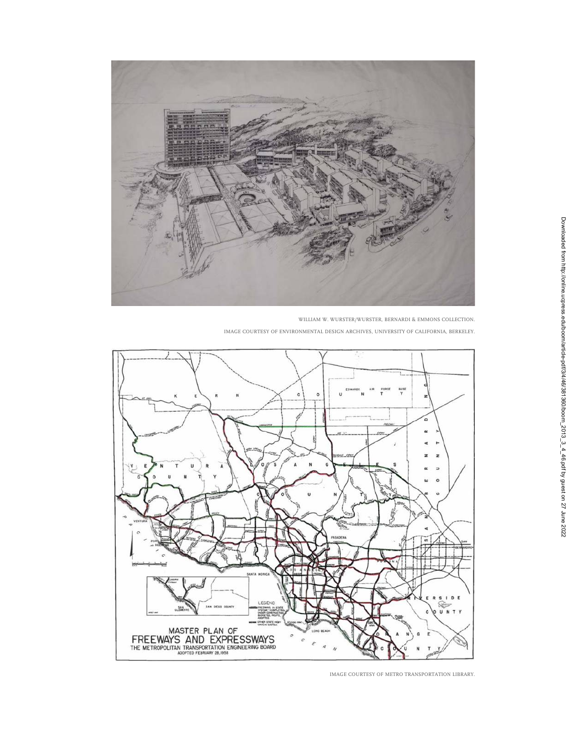

WILLIAM W. WURSTER/WURSTER, BERNARDI & EMMONS COLLECTION.

IMAGE COURTESY OF ENVIRONMENTAL DESIGN ARCHIVES, UNIVERSITY OF CALIFORNIA, BERKELEY.



IMAGE COURTESY OF METRO TRANSPORTATION LIBRARY.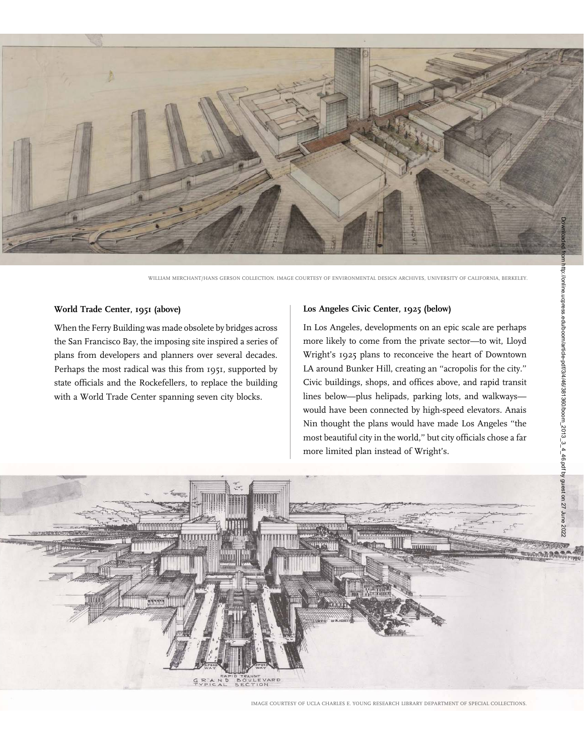

WILLIAM MERCHANT/HANS GERSON COLLECTION. IMAGE COURTESY OF ENVIRONMENTAL DESIGN ARCHIVES, UNIVERSITY OF CALIFORNIA, BERKELEY.

#### World Trade Center, 1951 (above)

When the Ferry Building was made obsolete by bridges across the San Francisco Bay, the imposing site inspired a series of plans from developers and planners over several decades. Perhaps the most radical was this from 1951, supported by state officials and the Rockefellers, to replace the building with a World Trade Center spanning seven city blocks.

#### Los Angeles Civic Center, 1925 (below)

In Los Angeles, developments on an epic scale are perhaps more likely to come from the private sector—to wit, Lloyd Wright's 1925 plans to reconceive the heart of Downtown LA around Bunker Hill, creating an ''acropolis for the city.'' Civic buildings, shops, and offices above, and rapid transit lines below—plus helipads, parking lots, and walkways would have been connected by high-speed elevators. Anais Nin thought the plans would have made Los Angeles ''the most beautiful city in the world,'' but city officials chose a far more limited plan instead of Wright's.



IMAGE COURTESY OF UCLA CHARLES E. YOUNG RESEARCH LIBRARY DEPARTMENT OF SPECIAL COLLECTIONS.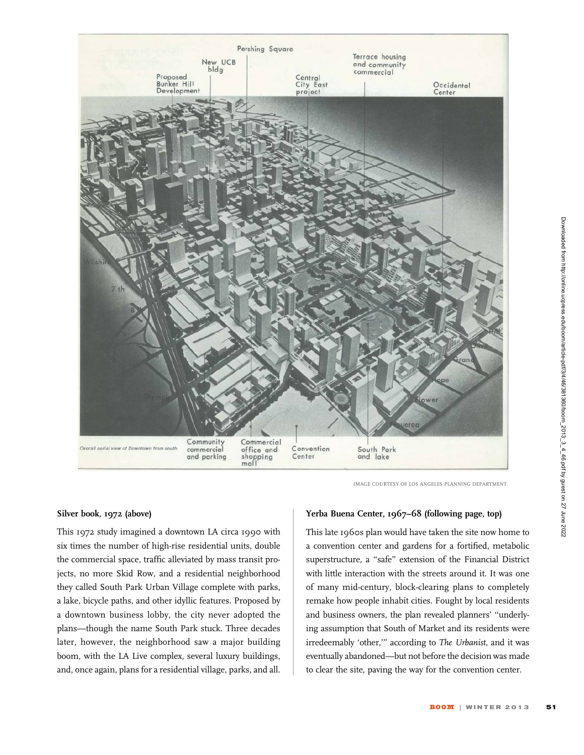

#### Silver book, 1972 (above)

This 1972 study imagined a downtown LA circa 1990 with six times the number of high-rise residential units, double the commercial space, traffic alleviated by mass transit projects, no more Skid Row, and a residential neighborhood they called South Park Urban Village complete with parks, a lake, bicycle paths, and other idyllic features. Proposed by a downtown business lobby, the city never adopted the plans—though the name South Park stuck. Three decades later, however, the neighborhood saw a major building boom, with the LA Live complex, several luxury buildings, and, once again, plans for a residential village, parks, and all.

#### IMAGE COURTESY OF LOS ANGELES PLANNING DEPARTMENT

#### Yerba Buena Center, 1967–68 (following page, top)

This late 1960s plan would have taken the site now home to a convention center and gardens for a fortified, metabolic superstructure, a "safe" extension of the Financial District with little interaction with the streets around it. It was one of many mid-century, block-clearing plans to completely remake how people inhabit cities. Fought by local residents and business owners, the plan revealed planners' ''underlying assumption that South of Market and its residents were irredeemably 'other,''' according to The Urbanist, and it was eventually abandoned—but not before the decision was made to clear the site, paving the way for the convention center.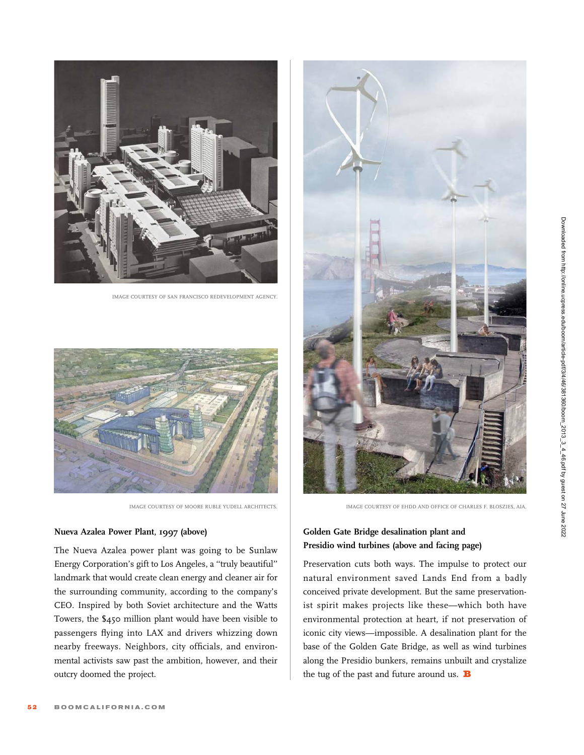

IMAGE COURTESY OF SAN FRANCISCO REDEVELOPMENT AGENCY.



IMAGE COURTESY OF MOORE RUBLE YUDELL ARCHITECTS.

### Nueva Azalea Power Plant, 1997 (above)

The Nueva Azalea power plant was going to be Sunlaw Energy Corporation's gift to Los Angeles, a ''truly beautiful'' landmark that would create clean energy and cleaner air for the surrounding community, according to the company's CEO. Inspired by both Soviet architecture and the Watts Towers, the \$450 million plant would have been visible to passengers flying into LAX and drivers whizzing down nearby freeways. Neighbors, city officials, and environmental activists saw past the ambition, however, and their outcry doomed the project.



IMAGE COURTESY OF EHDD AND OFFICE OF CHARLES F. BLOSZIES, AIA.

## Golden Gate Bridge desalination plant and Presidio wind turbines (above and facing page)

Preservation cuts both ways. The impulse to protect our natural environment saved Lands End from a badly conceived private development. But the same preservationist spirit makes projects like these—which both have environmental protection at heart, if not preservation of iconic city views—impossible. A desalination plant for the base of the Golden Gate Bridge, as well as wind turbines along the Presidio bunkers, remains unbuilt and crystalize the tug of the past and future around us.  $\mathbf B$